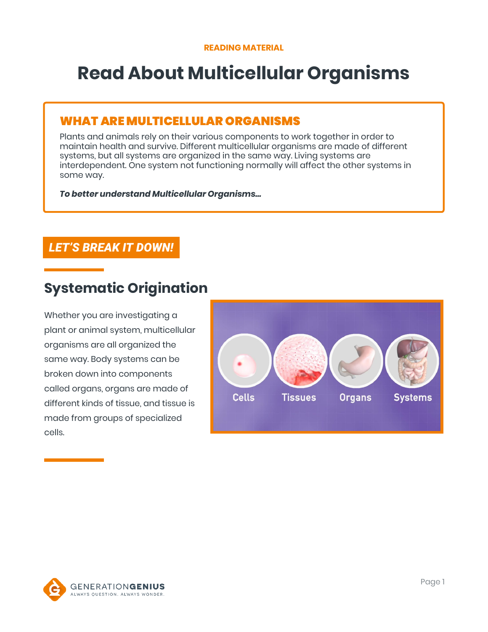# **Read About Multicellular Organisms**

### WHAT ARE MULTICELLULAR ORGANISMS

Plants and animals rely on their various components to work together in order to maintain health and survive. Different multicellular organisms are made of different systems, but all systems are organized in the same way. Living systems are interdependent. One system not functioning normally will affect the other systems in some way.

*To better understand Multicellular Organisms…*

### *LET'S BREAK IT DOWN!*

# **Systematic Origination**

Whether you are investigating a plant or animal system, multicellular organisms are all organized the same way. Body systems can be broken down into components called organs, organs are made of different kinds of tissue, and tissue is made from groups of specialized cells.



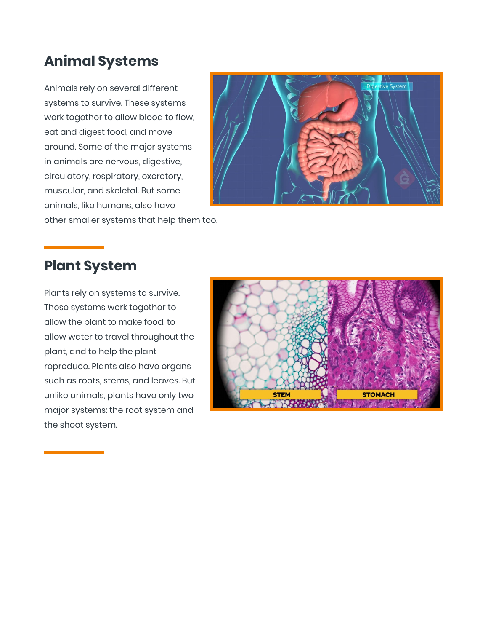# **Animal Systems**

Animals rely on several different systems to survive. These systems work together to allow blood to flow, eat and digest food, and move around. Some of the major systems in animals are nervous, digestive, circulatory, respiratory, excretory, muscular, and skeletal. But some animals, like humans, also have other smaller systems that help them too.



# **Plant System**

Plants rely on systems to survive. These systems work together to allow the plant to make food, to allow water to travel throughout the plant, and to help the plant reproduce. Plants also have organs such as roots, stems, and leaves. But unlike animals, plants have only two major systems: the root system and the shoot system.

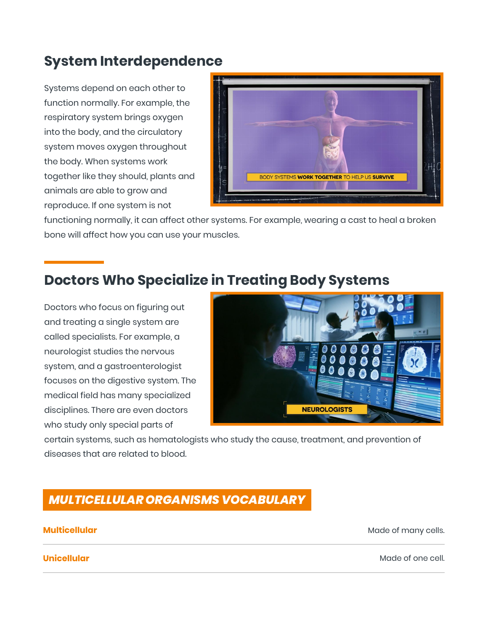# **System Interdependence**

Systems depend on each other to function normally. For example, the respiratory system brings oxygen into the body, and the circulatory system moves oxygen throughout the body. When systems work together like they should, plants and animals are able to grow and reproduce. If one system is not



functioning normally, it can affect other systems. For example, wearing a cast to heal a broken bone will affect how you can use your muscles.

# **Doctors Who Specialize in Treating Body Systems**

Doctors who focus on figuring out and treating a single system are called specialists. For example, a neurologist studies the nervous system, and a gastroenterologist focuses on the digestive system. The medical field has many specialized disciplines. There are even doctors who study only special parts of



certain systems, such as hematologists who study the cause, treatment, and prevention of diseases that are related to blood.

### *MULTICELLULAR ORGANISMS VOCABULARY*

**Multicellular** Made of many cells.

**Unicellular** Made of one cell.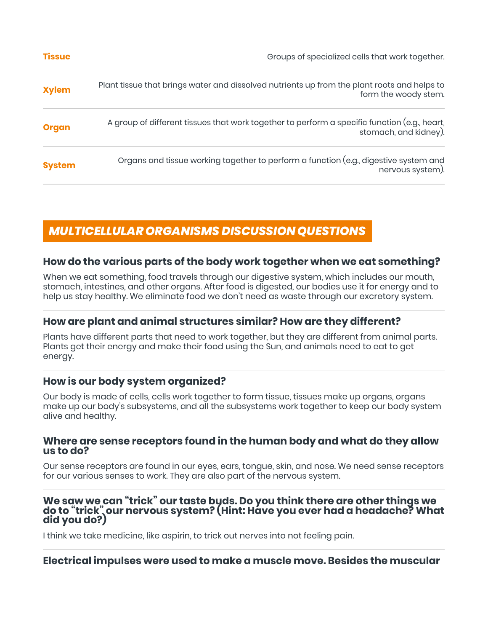| <b>Tissue</b> | Groups of specialized cells that work together.                                                                       |
|---------------|-----------------------------------------------------------------------------------------------------------------------|
| <b>Xylem</b>  | Plant tissue that brings water and dissolved nutrients up from the plant roots and helps to<br>form the woody stem.   |
| <b>Organ</b>  | A group of different tissues that work together to perform a specific function (e.g., heart,<br>stomach, and kidney). |
| <b>System</b> | Organs and tissue working together to perform a function (e.g., digestive system and<br>nervous system).              |

### *MULTICELLULAR ORGANISMS DISCUSSION QUESTIONS*

### **How do the various parts of the body work together when we eat something?**

When we eat something, food travels through our digestive system, which includes our mouth, stomach, intestines, and other organs. After food is digested, our bodies use it for energy and to help us stay healthy. We eliminate food we don't need as waste through our excretory system.

### **How are plant and animal structures similar? How are they different?**

Plants have different parts that need to work together, but they are different from animal parts. Plants get their energy and make their food using the Sun, and animals need to eat to get energy.

### **How is our body system organized?**

Our body is made of cells, cells work together to form tissue, tissues make up organs, organs make up our body's subsystems, and all the subsystems work together to keep our body system alive and healthy.

### **Where are sense receptors found in the human body and what do they allow us to do?**

Our sense receptors are found in our eyes, ears, tongue, skin, and nose. We need sense receptors for our various senses to work. They are also part of the nervous system.

# **We saw we can "trick" our taste buds. Do you think there are other things we do to "trick" our nervous system? (Hint: Have you ever had a headache? What did you do?)**

I think we take medicine, like aspirin, to trick out nerves into not feeling pain.

### **Electrical impulses were used to make a muscle move. Besides the muscular**